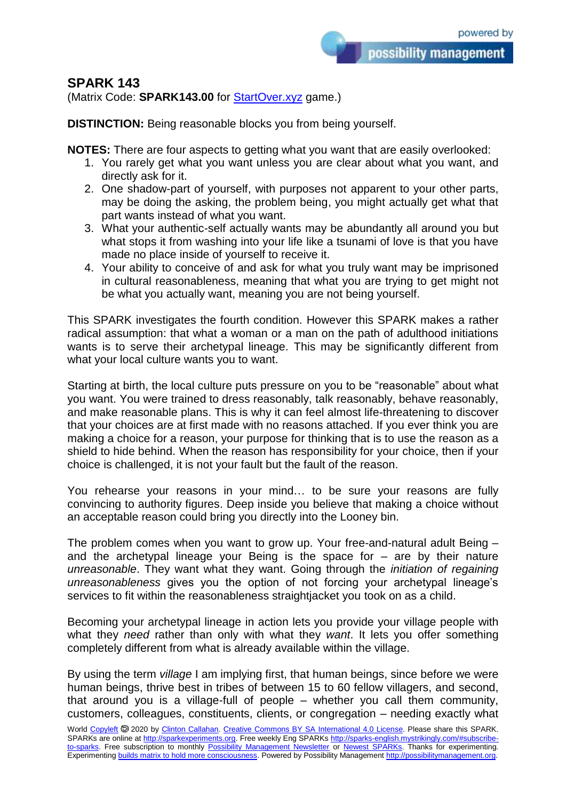## **SPARK 143**

(Matrix Code: **SPARK143.00** for **StartOver.xyz** game.)

**DISTINCTION:** Being reasonable blocks you from being yourself.

**NOTES:** There are four aspects to getting what you want that are easily overlooked:

- 1. You rarely get what you want unless you are clear about what you want, and directly ask for it.
- 2. One shadow-part of yourself, with purposes not apparent to your other parts, may be doing the asking, the problem being, you might actually get what that part wants instead of what you want.
- 3. What your authentic-self actually wants may be abundantly all around you but what stops it from washing into your life like a tsunami of love is that you have made no place inside of yourself to receive it.
- 4. Your ability to conceive of and ask for what you truly want may be imprisoned in cultural reasonableness, meaning that what you are trying to get might not be what you actually want, meaning you are not being yourself.

This SPARK investigates the fourth condition. However this SPARK makes a rather radical assumption: that what a woman or a man on the path of adulthood initiations wants is to serve their archetypal lineage. This may be significantly different from what your local culture wants you to want.

Starting at birth, the local culture puts pressure on you to be "reasonable" about what you want. You were trained to dress reasonably, talk reasonably, behave reasonably, and make reasonable plans. This is why it can feel almost life-threatening to discover that your choices are at first made with no reasons attached. If you ever think you are making a choice for a reason, your purpose for thinking that is to use the reason as a shield to hide behind. When the reason has responsibility for your choice, then if your choice is challenged, it is not your fault but the fault of the reason.

You rehearse your reasons in your mind… to be sure your reasons are fully convincing to authority figures. Deep inside you believe that making a choice without an acceptable reason could bring you directly into the Looney bin.

The problem comes when you want to grow up. Your free-and-natural adult Being – and the archetypal lineage your Being is the space for  $-$  are by their nature *unreasonable*. They want what they want. Going through the *initiation of regaining unreasonableness* gives you the option of not forcing your archetypal lineage's services to fit within the reasonableness straightjacket you took on as a child.

Becoming your archetypal lineage in action lets you provide your village people with what they *need* rather than only with what they *want*. It lets you offer something completely different from what is already available within the village.

By using the term *village* I am implying first, that human beings, since before we were human beings, thrive best in tribes of between 15 to 60 fellow villagers, and second, that around you is a village-full of people – whether you call them community, customers, colleagues, constituents, clients, or congregation – needing exactly what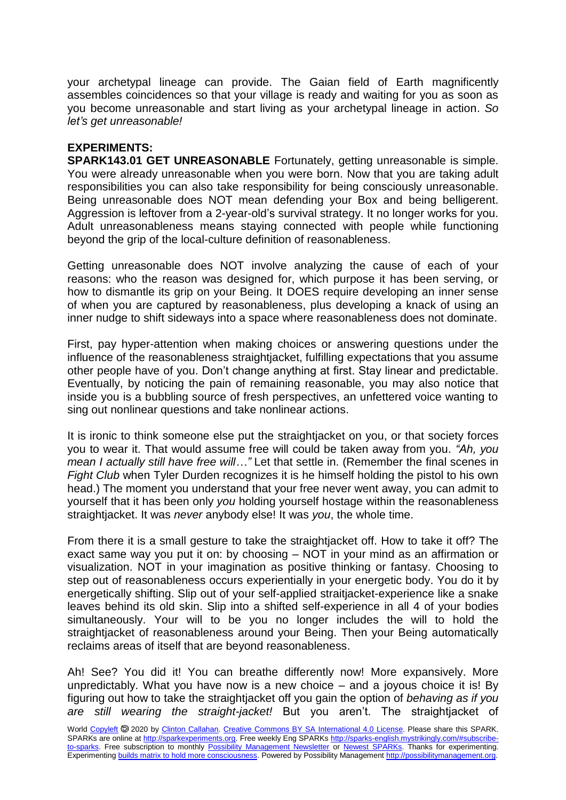your archetypal lineage can provide. The Gaian field of Earth magnificently assembles coincidences so that your village is ready and waiting for you as soon as you become unreasonable and start living as your archetypal lineage in action. *So let's get unreasonable!*

## **EXPERIMENTS:**

**SPARK143.01 GET UNREASONABLE** Fortunately, getting unreasonable is simple. You were already unreasonable when you were born. Now that you are taking adult responsibilities you can also take responsibility for being consciously unreasonable. Being unreasonable does NOT mean defending your Box and being belligerent. Aggression is leftover from a 2-year-old's survival strategy. It no longer works for you. Adult unreasonableness means staying connected with people while functioning beyond the grip of the local-culture definition of reasonableness.

Getting unreasonable does NOT involve analyzing the cause of each of your reasons: who the reason was designed for, which purpose it has been serving, or how to dismantle its grip on your Being. It DOES require developing an inner sense of when you are captured by reasonableness, plus developing a knack of using an inner nudge to shift sideways into a space where reasonableness does not dominate.

First, pay hyper-attention when making choices or answering questions under the influence of the reasonableness straightjacket, fulfilling expectations that you assume other people have of you. Don't change anything at first. Stay linear and predictable. Eventually, by noticing the pain of remaining reasonable, you may also notice that inside you is a bubbling source of fresh perspectives, an unfettered voice wanting to sing out nonlinear questions and take nonlinear actions.

It is ironic to think someone else put the straightjacket on you, or that society forces you to wear it. That would assume free will could be taken away from you. *"Ah, you mean I actually still have free will…"* Let that settle in. (Remember the final scenes in *Fight Club* when Tyler Durden recognizes it is he himself holding the pistol to his own head.) The moment you understand that your free never went away, you can admit to yourself that it has been only *you* holding yourself hostage within the reasonableness straightiacket. It was *never* anybody else! It was *you*, the whole time.

From there it is a small gesture to take the straightjacket off. How to take it off? The exact same way you put it on: by choosing – NOT in your mind as an affirmation or visualization. NOT in your imagination as positive thinking or fantasy. Choosing to step out of reasonableness occurs experientially in your energetic body. You do it by energetically shifting. Slip out of your self-applied straitjacket-experience like a snake leaves behind its old skin. Slip into a shifted self-experience in all 4 of your bodies simultaneously. Your will to be you no longer includes the will to hold the straightjacket of reasonableness around your Being. Then your Being automatically reclaims areas of itself that are beyond reasonableness.

Ah! See? You did it! You can breathe differently now! More expansively. More unpredictably. What you have now is a new choice – and a joyous choice it is! By figuring out how to take the straightjacket off you gain the option of *behaving as if you are still wearing the straight-jacket!* But you aren't. The straightjacket of